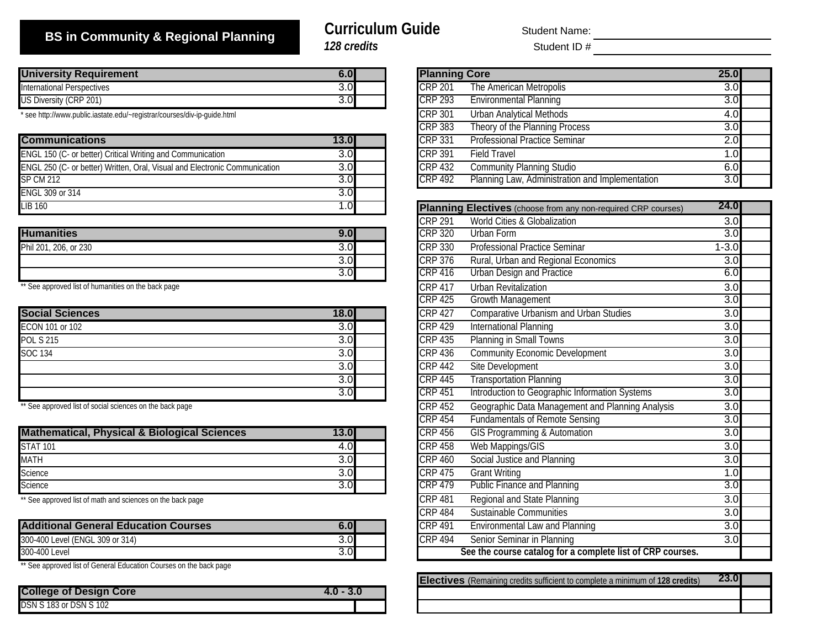## **BS in Community & Regional Planning** *128 credits*

# **Curriculum Guide**

Student Name:

Student ID #

| <b>University Requirement</b> | 6.OI |  |
|-------------------------------|------|--|
| International Perspectives    |      |  |
| US Diversity (CRP 201)        |      |  |

\* see http://www.public.iastate.edu/~registrar/courses/div-ip-guide.html

| <b>Communications</b>                                                      | 13.0              | <b>CRP 331</b> | <b>Professional Practice Seminar</b>                                 | 2.0  |
|----------------------------------------------------------------------------|-------------------|----------------|----------------------------------------------------------------------|------|
| ENGL 150 (C- or better) Critical Writing and Communication                 | 3.0               | CRP 391        | Field Travel                                                         |      |
| ENGL 250 (C- or better) Written, Oral, Visual and Electronic Communication | 3.0               | CRP 432        | Community Planning Studio                                            | 6.0  |
| SP CM 212                                                                  | 3.0               | CRP 492        | Planning Law, Administration and Implementation                      | 3.0  |
| <b>ENGL 309 or 314</b>                                                     | 3.OI              |                |                                                                      |      |
| <b>LIB 160</b>                                                             | $.0 \blacksquare$ |                | <b>Planning Electives</b> (choose from any non-required CRP courses) | 24.0 |

|                            |     | IVIN 471       | <u>WUHU VIIIYY W UNDUIILUINII</u>         | v.v  |
|----------------------------|-----|----------------|-------------------------------------------|------|
| <b>Humanities</b>          | 9.0 | <b>CRP 320</b> | Urban Form                                | いい   |
| Phil 201,<br>, 206, or 230 | 3.0 | <b>CRP 330</b> | <b>Professional Practice Seminar</b>      | -3.0 |
|                            | 3.0 | <b>CRP 376</b> | Rural.<br>I. Urban and Regional Economics | J.J  |
|                            | 3.0 | <b>CRP 416</b> | Urban Design and Practice                 | ∪.⊾  |

\*\* See approved list of humanities on the back page

| <b>Social Sciences</b> | 18.0 | <b>CRP 427</b> | Comparative Urbanism and Urban Studies         | 3.0 |
|------------------------|------|----------------|------------------------------------------------|-----|
| ECON 101 or 102        | 3.0  | CRP 429        | International Planning                         | 3.0 |
| <b>POL S 215</b>       | 3.0  | CRP 435        | Planning in Small Towns                        | 3.0 |
| <b>SOC 134</b>         | 3.0  | CRP 436        | <b>Community Economic Development</b>          | 3.0 |
|                        | 3.0  | <b>CRP 442</b> | Site Development                               | 3.0 |
|                        | 3.0  | <b>CRP 445</b> | <b>Transportation Planning</b>                 | 3.0 |
|                        | 3.0  | <b>CRP 451</b> | Introduction to Geographic Information Systems | 3.0 |
|                        |      |                |                                                |     |

\*\* See approved list of social sciences on the back page

| <b>Mathematical, Physical &amp; Biological Sciences</b> | 13.0 | <b>CRP 456</b> | <b>GIS Programming &amp; Automation</b> |     |
|---------------------------------------------------------|------|----------------|-----------------------------------------|-----|
| <b>STAT 101</b>                                         | 4.0  | <b>CRP 458</b> | Web Mappings/GIS                        | 3.0 |
| <b>MATH</b>                                             | 3.OI | <b>CRP 460</b> | Social Justice and Planning             | 3.0 |
| Science                                                 | 3.0  | <b>CRP 475</b> | <b>Grant Writing</b>                    |     |
| Science                                                 | 3.OI | CRP 479        | <b>Public Finance and Planning</b>      |     |

\*\* See approved list of math and sciences on the back page

| <b>Additional General Education Courses</b> | v.v | <b>CRP 491</b> | Environmental Law and Planning                             | J.J |
|---------------------------------------------|-----|----------------|------------------------------------------------------------|-----|
| 300-400 Level (ENGL 309 or 314)             | 3.U | <b>CRP 494</b> | Senior Seminar in Planning                                 | ◡.  |
| 300-400 Level                               | 3.U |                | See the course catalog for a complete list of CRP courses. |     |

\*\* See approved list of General Education Courses on the back page

| <b>College of Design Core</b> | $4.0 - 3.0$ |
|-------------------------------|-------------|
| <b>DSN S 183 or DSN S 102</b> |             |

| 6.0  |  | <b>Planning Core</b> |                                                 | <b>25.0</b> |  |
|------|--|----------------------|-------------------------------------------------|-------------|--|
| 3.0  |  | <b>CRP 201</b>       | The American Metropolis                         | 3.0         |  |
| 3.0  |  | <b>CRP 293</b>       | <b>Environmental Planning</b>                   | 3.0         |  |
|      |  | CRP 301              | <b>Urban Analytical Methods</b>                 | 4.0         |  |
|      |  | <b>CRP 383</b>       | Theory of the Planning Process                  | 3.0         |  |
| 13.0 |  | <b>CRP 331</b>       | <b>Professional Practice Seminar</b>            | 2.0         |  |
| 3.0  |  | $CRP$ 391            | <b>Field Travel</b>                             | 1.0         |  |
| 3.0  |  | <b>CRP 432</b>       | <b>Community Planning Studio</b>                | 6.0         |  |
| 3.0  |  | <b>CRP 492</b>       | Planning Law, Administration and Implementation | 3.0         |  |

|                | Planning Electives (choose from any non-required CRP courses) | 24.0             |  |
|----------------|---------------------------------------------------------------|------------------|--|
| <b>CRP 291</b> | World Cities & Globalization                                  | 3.0              |  |
| <b>CRP 320</b> | Urban Form                                                    | 3.0              |  |
| <b>CRP 330</b> | <b>Professional Practice Seminar</b>                          | $1 - 3.0$        |  |
| <b>CRP 376</b> | Rural, Urban and Regional Economics                           | 3.0              |  |
| <b>CRP 416</b> | <b>Urban Design and Practice</b>                              | 6.0              |  |
| <b>CRP 417</b> | <b>Urban Revitalization</b>                                   | 3.0              |  |
| <b>CRP 425</b> | Growth Management                                             | 3.0              |  |
| <b>CRP 427</b> | <b>Comparative Urbanism and Urban Studies</b>                 | 3.0              |  |
| <b>CRP 429</b> | <b>International Planning</b>                                 | 3.0              |  |
| <b>CRP 435</b> | Planning in Small Towns                                       | $\overline{3.0}$ |  |
| <b>CRP 436</b> | <b>Community Economic Development</b>                         | 3.0              |  |
| <b>CRP 442</b> | <b>Site Development</b>                                       | 3.0              |  |
| <b>CRP 445</b> | <b>Transportation Planning</b>                                | 3.0              |  |
| CRP 451        | Introduction to Geographic Information Systems                | 3.0              |  |
| <b>CRP 452</b> | Geographic Data Management and Planning Analysis              | 3.0              |  |
| <b>CRP 454</b> | <b>Fundamentals of Remote Sensing</b>                         | $\overline{3.0}$ |  |
| <b>CRP 456</b> | <b>GIS Programming &amp; Automation</b>                       | $\overline{3.0}$ |  |
| <b>CRP 458</b> | Web Mappings/GIS                                              | $\overline{3.0}$ |  |
| <b>CRP 460</b> | Social Justice and Planning                                   | 3.0              |  |
| <b>CRP 475</b> | <b>Grant Writing</b>                                          | 1.0              |  |
| <b>CRP 479</b> | <b>Public Finance and Planning</b>                            | 3.0              |  |
| <b>CRP 481</b> | Regional and State Planning                                   | $\overline{3.0}$ |  |
| <b>CRP 484</b> | Sustainable Communities                                       | 3.0              |  |
| <b>CRP 491</b> | <b>Environmental Law and Planning</b>                         | 3.0              |  |
| <b>CRP 494</b> | Senior Seminar in Planning                                    | 3.0              |  |
|                | See the course catalog for a complete list of CRP courses.    |                  |  |

| <b>Electives</b> (Remaining credits sufficient to complete a minimum of 128 credits) | <b>23.01</b> |  |
|--------------------------------------------------------------------------------------|--------------|--|
|                                                                                      |              |  |
|                                                                                      |              |  |